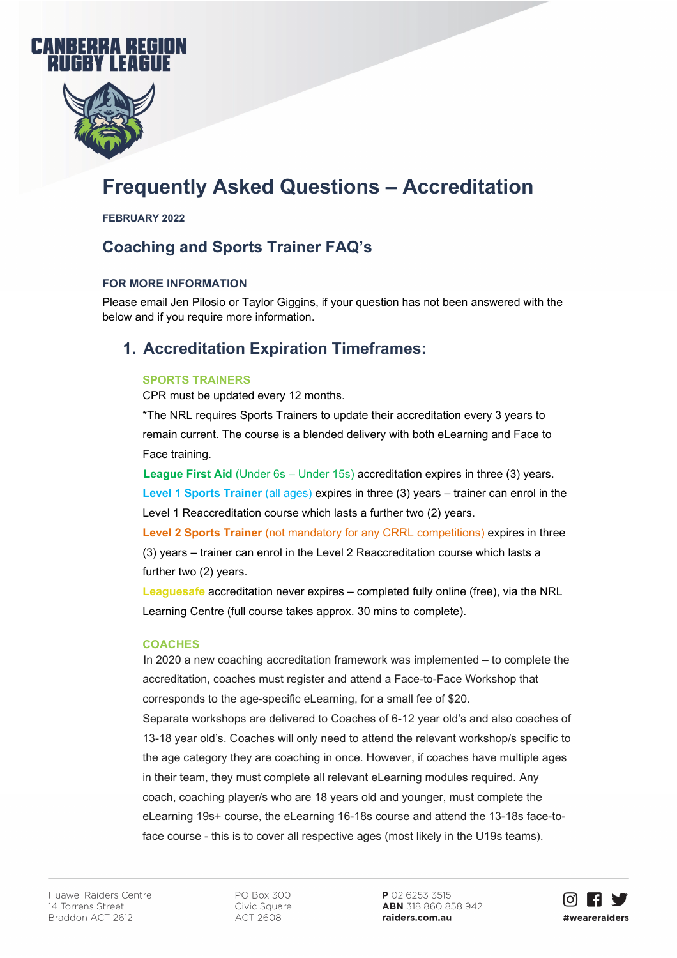



# **Frequently Asked Questions – Accreditation**

**FEBRUARY 2022**

# **Coaching and Sports Trainer FAQ's**

### **FOR MORE INFORMATION**

Please email Jen Pilosio or Taylor Giggins, if your question has not been answered with the below and if you require more information.

### **1. Accreditation Expiration Timeframes:**

#### **SPORTS TRAINERS**

CPR must be updated every 12 months.

\*The NRL requires Sports Trainers to update their accreditation every 3 years to remain current. The course is a blended delivery with both eLearning and Face to Face training.

**League First Aid** (Under 6s – Under 15s) accreditation expires in three (3) years. **Level 1 Sports Trainer** (all ages) expires in three (3) years – trainer can enrol in the Level 1 Reaccreditation course which lasts a further two (2) years.

**Level 2 Sports Trainer** (not mandatory for any CRRL competitions) expires in three (3) years – trainer can enrol in the Level 2 Reaccreditation course which lasts a further two (2) years.

**Leaguesafe** accreditation never expires – completed fully online (free), via the NRL Learning Centre (full course takes approx. 30 mins to complete).

#### **COACHES**

In 2020 a new coaching accreditation framework was implemented – to complete the accreditation, coaches must register and attend a Face-to-Face Workshop that corresponds to the age-specific eLearning, for a small fee of \$20.

Separate workshops are delivered to Coaches of 6-12 year old's and also coaches of 13-18 year old's. Coaches will only need to attend the relevant workshop/s specific to the age category they are coaching in once. However, if coaches have multiple ages in their team, they must complete all relevant eLearning modules required. Any coach, coaching player/s who are 18 years old and younger, must complete the eLearning 19s+ course, the eLearning 16-18s course and attend the 13-18s face-toface course - this is to cover all respective ages (most likely in the U19s teams).

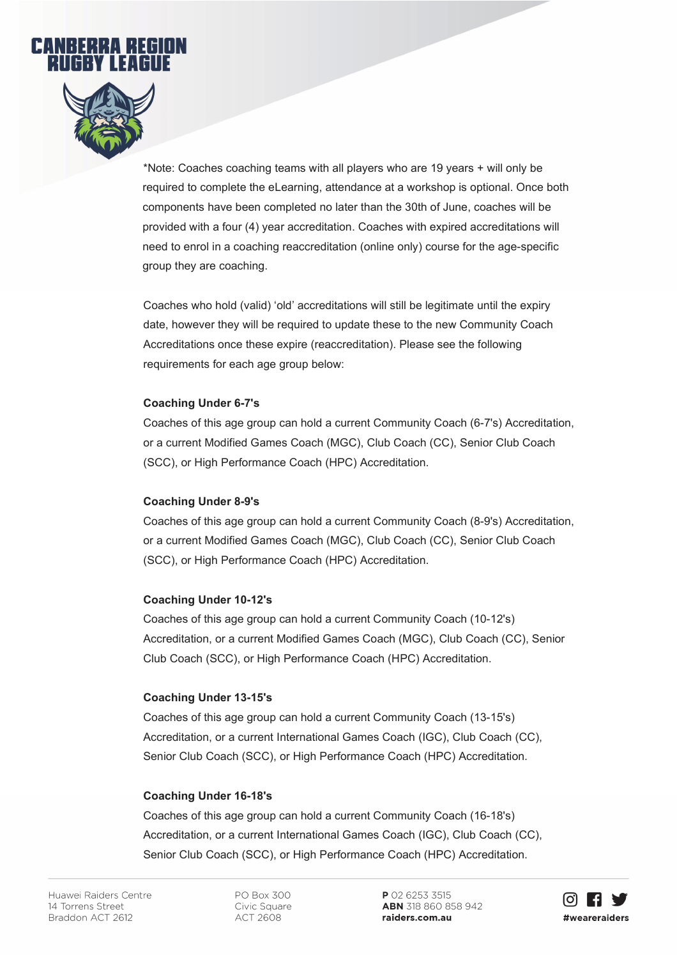



\*Note: Coaches coaching teams with all players who are 19 years + will only be required to complete the eLearning, attendance at a workshop is optional. Once both components have been completed no later than the 30th of June, coaches will be provided with a four (4) year accreditation. Coaches with expired accreditations will need to enrol in a coaching reaccreditation (online only) course for the age-specific group they are coaching.

Coaches who hold (valid) 'old' accreditations will still be legitimate until the expiry date, however they will be required to update these to the new Community Coach Accreditations once these expire (reaccreditation). Please see the following requirements for each age group below:

#### **Coaching Under 6-7's**

Coaches of this age group can hold a current Community Coach (6-7's) Accreditation, or a current Modified Games Coach (MGC), Club Coach (CC), Senior Club Coach (SCC), or High Performance Coach (HPC) Accreditation.

#### **Coaching Under 8-9's**

Coaches of this age group can hold a current Community Coach (8-9's) Accreditation, or a current Modified Games Coach (MGC), Club Coach (CC), Senior Club Coach (SCC), or High Performance Coach (HPC) Accreditation.

#### **Coaching Under 10-12's**

Coaches of this age group can hold a current Community Coach (10-12's) Accreditation, or a current Modified Games Coach (MGC), Club Coach (CC), Senior Club Coach (SCC), or High Performance Coach (HPC) Accreditation.

#### **Coaching Under 13-15's**

Coaches of this age group can hold a current Community Coach (13-15's) Accreditation, or a current International Games Coach (IGC), Club Coach (CC), Senior Club Coach (SCC), or High Performance Coach (HPC) Accreditation.

### **Coaching Under 16-18's**

Coaches of this age group can hold a current Community Coach (16-18's) Accreditation, or a current International Games Coach (IGC), Club Coach (CC), Senior Club Coach (SCC), or High Performance Coach (HPC) Accreditation.

PO Box 300 Civic Square **ACT 2608** 

P 02 6253 3515 ABN 318 860 858 942 raiders.com.au

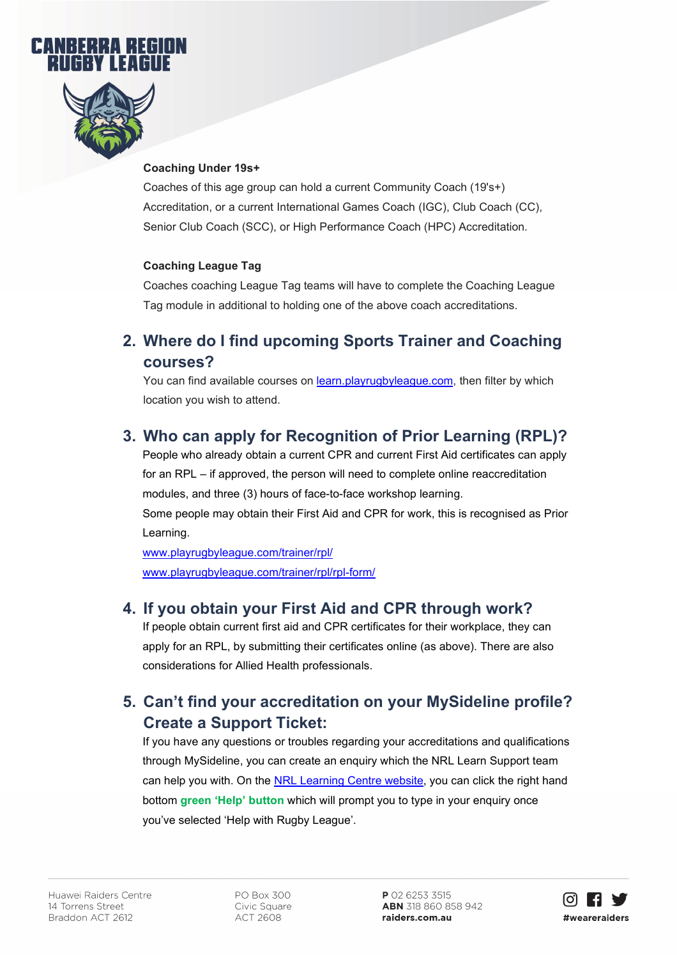



### **Coaching Under 19s+**

Coaches of this age group can hold a current Community Coach (19's+) Accreditation, or a current International Games Coach (IGC), Club Coach (CC), Senior Club Coach (SCC), or High Performance Coach (HPC) Accreditation.

### **Coaching League Tag**

Coaches coaching League Tag teams will have to complete the Coaching League Tag module in additional to holding one of the above coach accreditations.

### **2. Where do I find upcoming Sports Trainer and Coaching courses?**

You can find available courses on [learn.playrugbyleague.com,](https://learn.playrugbyleague.com/ilp/pages/catalogsearch.jsf?catalogId=1700&sidebarExpanded=true&q=*:*&rows=10) then filter by which location you wish to attend.

### **3. Who can apply for Recognition of Prior Learning (RPL)?**

People who already obtain a current CPR and current First Aid certificates can apply for an RPL – if approved, the person will need to complete online reaccreditation modules, and three (3) hours of face-to-face workshop learning. Some people may obtain their First Aid and CPR for work, this is recognised as Prior Learning.

[www.playrugbyleague.com/trainer/rpl/](http://www.playrugbyleague.com/trainer/rpl/) [www.playrugbyleague.com/trainer/rpl/rpl-form/](http://www.playrugbyleague.com/trainer/rpl/rpl-form/)

### **4. If you obtain your First Aid and CPR through work?**

If people obtain current first aid and CPR certificates for their workplace, they can apply for an RPL, by submitting their certificates online (as above). There are also considerations for Allied Health professionals.

# **5. Can't find your accreditation on your MySideline profile? Create a Support Ticket:**

If you have any questions or troubles regarding your accreditations and qualifications through MySideline, you can create an enquiry which the NRL Learn Support team can help you with. On the [NRL Learning Centre website,](https://learn.playnrl.com/ilp/pages/external-dashboard.jsf?faces-redirect=true&dashboardId=6) you can click the right hand bottom **green 'Help' button** which will prompt you to type in your enquiry once you've selected 'Help with Rugby League'.

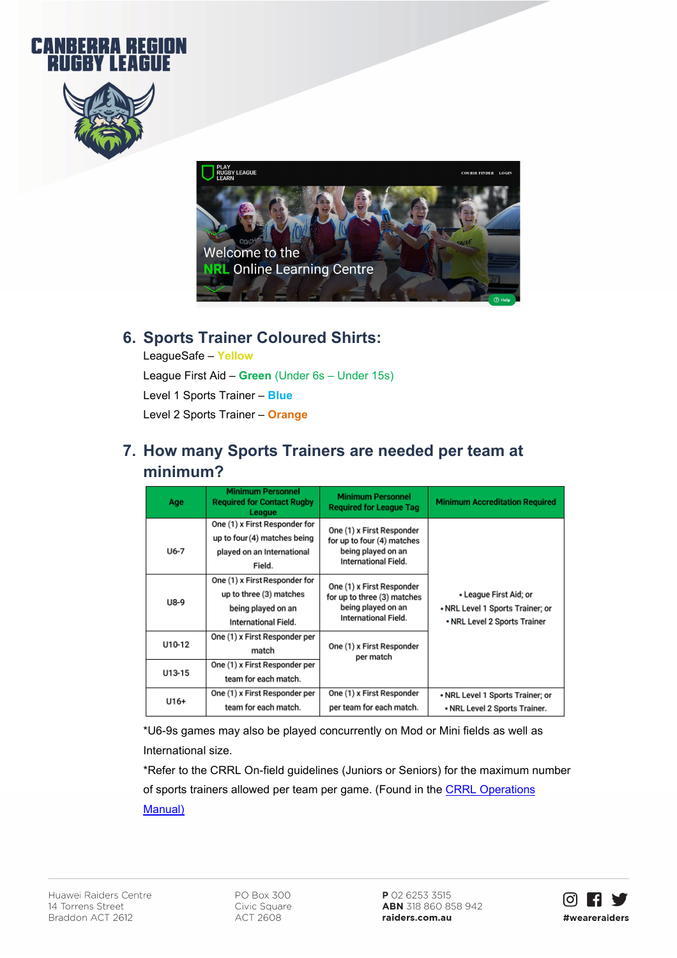





### **6. Sports Trainer Coloured Shirts:**

LeagueSafe – **Yellow** League First Aid – **Green** (Under 6s – Under 15s) Level 1 Sports Trainer – **Blue** Level 2 Sports Trainer – **Orange** 

# **7. How many Sports Trainers are needed per team at minimum?**

| Age    | <b>Minimum Personnel</b><br><b>Required for Contact Rugby</b><br>League                                | <b>Minimum Personnel</b><br><b>Required for League Tag</b>                                             | <b>Minimum Accreditation Required</b>                                                      |
|--------|--------------------------------------------------------------------------------------------------------|--------------------------------------------------------------------------------------------------------|--------------------------------------------------------------------------------------------|
| $U6-7$ | One (1) x First Responder for<br>up to four (4) matches being<br>played on an International<br>Field.  | One (1) x First Responder<br>for up to four (4) matches<br>being played on an<br>International Field.  |                                                                                            |
| U8-9   | One (1) x First Responder for<br>up to three (3) matches<br>being played on an<br>International Field. | One (1) x First Responder<br>for up to three (3) matches<br>being played on an<br>International Field. | • League First Aid; or<br>• NRL Level 1 Sports Trainer; or<br>• NRL Level 2 Sports Trainer |
| U10-12 | One (1) x First Responder per<br>match                                                                 | One (1) x First Responder<br>per match                                                                 |                                                                                            |
| U13-15 | One (1) x First Responder per<br>team for each match.                                                  |                                                                                                        |                                                                                            |
| $U16+$ | One (1) x First Responder per<br>team for each match.                                                  | One (1) x First Responder<br>per team for each match.                                                  | • NRL Level 1 Sports Trainer; or<br>• NRL Level 2 Sports Trainer.                          |

\*U6-9s games may also be played concurrently on Mod or Mini fields as well as International size.

\*Refer to the CRRL On-field guidelines (Juniors or Seniors) for the maximum number of sports trainers allowed per team per game. (Found in the CRRL Operations [Manual\)](https://www.raiders.com.au/siteassets/crrl/forms/operations-manual-2022.pdf)

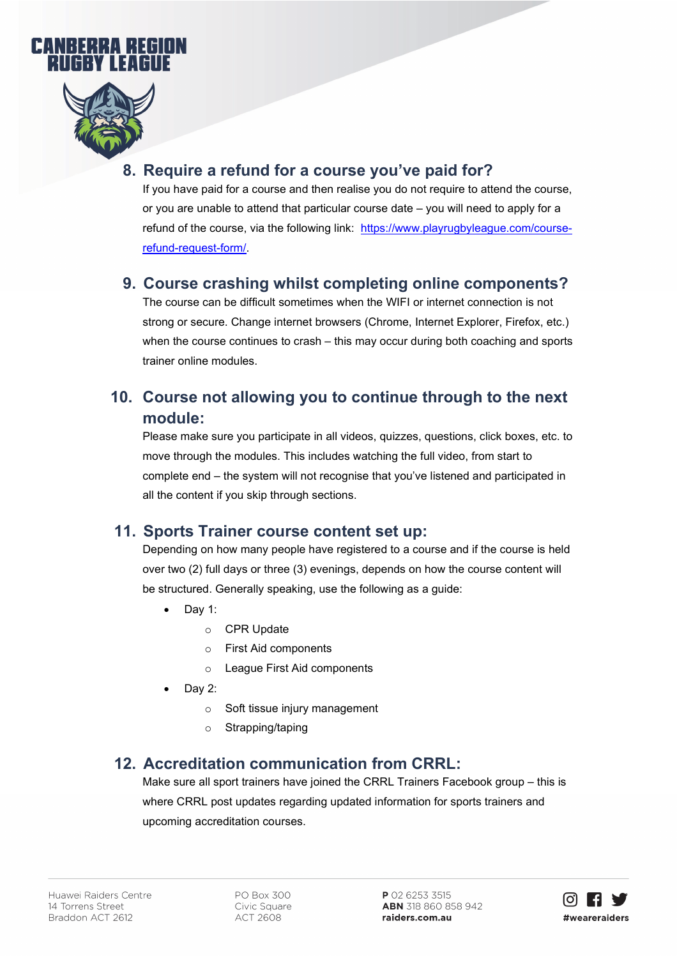



# **8. Require a refund for a course you've paid for?**

If you have paid for a course and then realise you do not require to attend the course, or you are unable to attend that particular course date – you will need to apply for a refund of the course, via the following link: [https://www.playrugbyleague.com/course](https://www.playrugbyleague.com/course-refund-request-form/)[refund-request-form/.](https://www.playrugbyleague.com/course-refund-request-form/)

### **9. Course crashing whilst completing online components?**

The course can be difficult sometimes when the WIFI or internet connection is not strong or secure. Change internet browsers (Chrome, Internet Explorer, Firefox, etc.) when the course continues to crash – this may occur during both coaching and sports trainer online modules.

# **10. Course not allowing you to continue through to the next module:**

Please make sure you participate in all videos, quizzes, questions, click boxes, etc. to move through the modules. This includes watching the full video, from start to complete end – the system will not recognise that you've listened and participated in all the content if you skip through sections.

### **11. Sports Trainer course content set up:**

Depending on how many people have registered to a course and if the course is held over two (2) full days or three (3) evenings, depends on how the course content will be structured. Generally speaking, use the following as a guide:

- Day 1:
	- o CPR Update
	- o First Aid components
	- o League First Aid components
- Day 2:
	- o Soft tissue injury management
	- o Strapping/taping

### **12. Accreditation communication from CRRL:**

Make sure all sport trainers have joined the CRRL Trainers Facebook group – this is where CRRL post updates regarding updated information for sports trainers and upcoming accreditation courses.